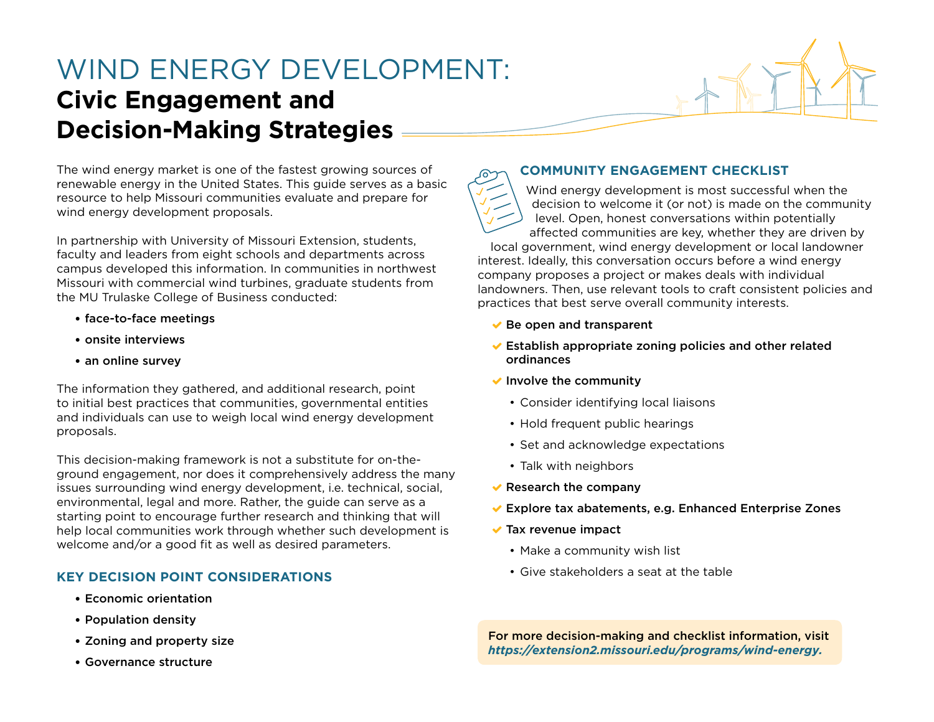## WIND ENERGY DEVELOPMENT: **Civic Engagement and Decision-Making Strategies**



In partnership with University of Missouri Extension, students, faculty and leaders from eight schools and departments across campus developed this information. In communities in northwest Missouri with commercial wind turbines, graduate students from the MU Trulaske College of Business conducted:

- face-to-face meetings
- onsite interviews
- an online survey

The information they gathered, and additional research, point to initial best practices that communities, governmental entities and individuals can use to weigh local wind energy development proposals.

This decision-making framework is not a substitute for on-theground engagement, nor does it comprehensively address the many issues surrounding wind energy development, i.e. technical, social, environmental, legal and more. Rather, the guide can serve as a starting point to encourage further research and thinking that will help local communities work through whether such development is welcome and/or a good fit as well as desired parameters.

## **KEY DECISION POINT CONSIDERATIONS**

- Economic orientation
- Population density
- Zoning and property size
- Governance structure

## **COMMUNITY ENGAGEMENT CHECKLIST**

Wind energy development is most successful when the decision to welcome it (or not) is made on the community level. Open, honest conversations within potentially affected communities are key, whether they are driven by local government, wind energy development or local landowner

interest. Ideally, this conversation occurs before a wind energy company proposes a project or makes deals with individual landowners. Then, use relevant tools to craft consistent policies and practices that best serve overall community interests.

- $\blacktriangleright$  Be open and transparent
- $\blacktriangleright$  Establish appropriate zoning policies and other related ordinances
- $\blacktriangleright$  Involve the community
	- Consider identifying local liaisons
	- Hold frequent public hearings
	- Set and acknowledge expectations
	- Talk with neighbors
- $\vee$  Research the company
- Explore tax abatements, e.g. Enhanced Enterprise Zones
- $\blacktriangleright$  Tax revenue impact
	- Make a community wish list
	- Give stakeholders a seat at the table

For more decision-making and checklist information, visit *[https://extension2.missouri.edu/programs/wind-energy.](https://extension2.missouri.edu/programs/wind-energy)*